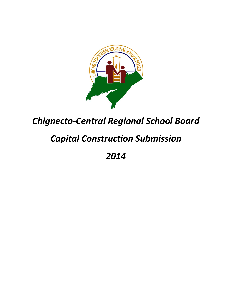

# *Chignecto-Central Regional School Board*

# *Capital Construction Submission*

*2014*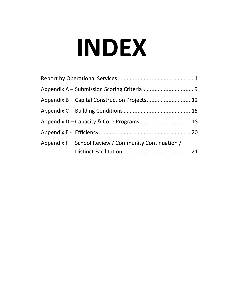# **INDEX**

| Appendix F - School Review / Community Continuation / |  |
|-------------------------------------------------------|--|
|                                                       |  |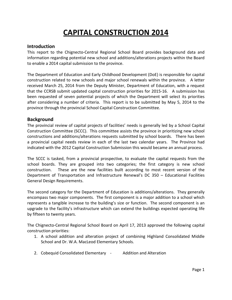# **CAPITAL CONSTRUCTION 2014**

### **Introduction**

This report to the Chignecto-Central Regional School Board provides background data and information regarding potential new school and additions/alterations projects within the Board to enable a 2014 capital submission to the province.

The Department of Education and Early Childhood Development (DoE) is responsible for capital construction related to new schools and major school renewals within the province. A letter received March 25, 2014 from the Deputy Minister, Department of Education, with a request that the CCRSB submit updated capital construction priorities for 2015-16. A submission has been requested of seven potential projects of which the Department will select its priorities after considering a number of criteria. This report is to be submitted by May 5, 2014 to the province through the provincial School Capital Construction Committee.

### **Background**

The provincial review of capital projects of facilities' needs is generally led by a School Capital Construction Committee (SCCC). This committee assists the province in prioritizing new school constructions and additions/alterations requests submitted by school boards. There has been a provincial capital needs review in each of the last two calendar years. The Province had indicated with the 2012 Capital Construction Submission this would became an annual process.

The SCCC is tasked, from a provincial prospective, to evaluate the capital requests from the school boards. They are grouped into two categories; the first category is new school construction. These are the new facilities built according to most recent version of the Department of Transportation and Infrastructure Renewal's DC 350 – Educational Facilities General Design Requirements.

The second category for the Department of Education is additions/alterations. They generally encompass two major components. The first component is a major addition to a school which represents a tangible increase to the building's size or function. The second component is an upgrade to the facility's infrastructure which can extend the buildings expected operating life by fifteen to twenty years.

The Chignecto-Central Regional School Board on April 17, 2013 approved the following capital construction priorities:

- 1. A school addition and alteration project of combining Highland Consolidated Middle School and Dr. W.A. MacLeod Elementary Schools.
- 2. Cobequid Consolidated Elementary Addition and Alteration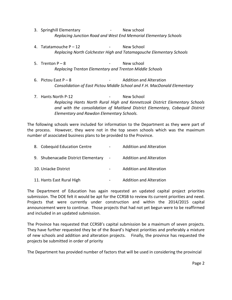- 3. Springhill Elementary New school *Replacing Junction Road and West End Memorial Elementary Schools*
- 4. Tatatamouche P 12 Paris New School *Replacing North Colchester High and Tatamagouche Elementary Schools*
- $5.$  Trenton  $P 8$   $-$  New school *Replacing Trenton Elementary and Trenton Middle Schools*
- 6. Pictou East  $P 8$   $\longrightarrow$  Addition and Alteration *Consolidation of East Pictou Middle School and F.H. MacDonald Elementary*
- 7. Hants North P-12 **No. 18 April 12** New School *Replacing Hants North Rural High and Kennetcook District Elementary Schools and with the consolidation of Maitland District Elementary, Cobequid District Elementary and Rawdon Elementary Schools.*

The following schools were included for information to the Department as they were part of the process. However, they were not in the top seven schools which was the maximum number of associated business plans to be provided to the Province.

| 8. Cobequid Education Centre        | $\blacksquare$ | <b>Addition and Alteration</b> |
|-------------------------------------|----------------|--------------------------------|
| 9. Shubenacadie District Elementary | $\sim 100$     | <b>Addition and Alteration</b> |
| 10. Uniacke District                |                | <b>Addition and Alteration</b> |
| 11. Hants East Rural High           |                | <b>Addition and Alteration</b> |

The Department of Education has again requested an updated capital project priorities submission. The DOE felt it would be apt for the CCRSB to review its current priorities and need. Projects that were currently under construction and within the 2014/2015 capital announcement were to continue. Those projects that had not yet begun were to be reaffirmed and included in an updated submission.

The Province has requested that CCRSB's capital submission be a maximum of seven projects. They have further requested they be of the Board's highest priorities and preferably a mixture of new schools and addition and alteration projects. Finally, the province has requested the projects be submitted in order of priority

The Department has provided number of factors that will be used in considering the provincial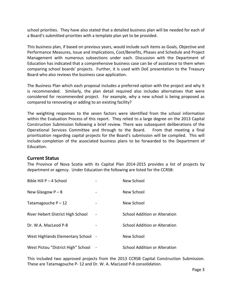school priorities. They have also stated that a detailed business plan will be needed for each of a Board's submitted priorities with a template plan yet to be provided.

This business plan, if based on previous years, would include such items as Goals, Objective and Performance Measures, Issue and Implications, Cost/Benefits, Phases and Schedule and Project Management with numerous subsections under each. Discussion with the Department of Education has indicated that a comprehensive business case can be of assistance to them when comparing school boards' projects. Further, it is used with DoE presentation to the Treasury Board who also reviews the business case application.

The Business Plan which each proposal includes a preferred option with the project and why it is recommended. Similarly, the plan detail required also includes alternatives that were considered for recommended project. For example, why a new school is being proposed as compared to renovating or adding to an existing facility?

The weighting responses to the seven factors were identified from the school information within the Evaluation Process of this report. They relied to a large degree on the 2013 Capital Construction Submission following a brief review. There was subsequent deliberations of the Operational Services Committee and through to the Board. From that meeting a final prioritization regarding capital projects for the Board's submission will be compiled. This will include completion of the associated business plans to be forwarded to the Department of Education.

### **Current Status**

The Province of Nova Scotia with its Capital Plan 2014-2015 provides a list of projects by department or agency. Under Education the following are listed for the CCRSB:

| Bible Hill P - 4 School            |                | New School                    |
|------------------------------------|----------------|-------------------------------|
| New Glasgow $P - 8$                |                | New School                    |
| Tatamagouche $P - 12$              |                | New School                    |
| River Hebert District High School  | -              | School Addition or Alteration |
| Dr. W.A. MacLeod P-8               |                | School Addition or Alteration |
| West Highlands Elementary School - |                | New School                    |
| West Pictou "District High" School | $\blacksquare$ | School Addition or Alteration |

This included two approved projects from the 2013 CCRSB Capital Construction Submission. These are Tatamagouche P- 12 and Dr. W. A. MacLeod P-8 consolidation.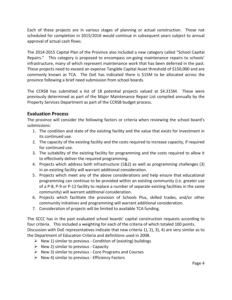Each of these projects are in various stages of planning or actual construction. Those not scheduled for completion in 2015/2016 would continue in subsequent years subject to annual approval of actual cash flows.

The 2014-2015 Capital Plan of the Province also included a new category called "School Capital Repairs." This category is proposed to encompass on-going maintenance repairs to schools' infrastructure, many of which represent maintenance work that has been deferred in the past. These projects need to exceed an expense Tangible Capital Asset threshold of \$150,000 and are commonly known as TCA. The DoE has indicated there is \$15M to be allocated across the province following a brief need submission from school boards.

The CCRSB has submitted a list of 18 potential projects valued at \$4.315M. These were previously determined as part of the Major Maintenance Repair List compiled annually by the Property Services Department as part of the CCRSB budget process.

### **Evaluation Process**

The province will consider the following factors or criteria when reviewing the school board's submissions:

- 1. The condition and state of the existing facility and the value that exists for investment in its continued use.
- 2. The capacity of the existing facility and the costs required to increase capacity, if required for continued use.
- 3. The suitability of the existing facility for programming and the costs required to allow it to effectively deliver the required programming.
- 4. Projects which address both infrastructure (1&2) as well as programming challenges (3) in an existing facility will warrant additional consideration.
- 5. Projects which meet any of the above considerations and help ensure that educational programming can continue to be provided within an existing community (i.e. greater use of a P-8, P-9 or P-12 facility to replace a number of separate existing facilities in the same community) will warrant additional consideration.
- 6. Projects which facilitate the provision of Schools Plus, skilled trades, and/or other community initiatives and programming will warrant additional consideration.
- 7. Consideration of projects will be limited to available TCA funding.

The SCCC has in the past evaluated school boards' capital construction requests according to four criteria. This included a weighting for each of the criteria of which totaled 100 points. Discussion with DoE representatives indicate that new criteria 1), 2), 3), 4) are very similar as to the Department of Education Criteria and definitions used in 2008.

- $\triangleright$  New 1) similar to previous Condition of (existing) buildings
- $\triangleright$  New 2) similar to previous Capacity
- $\triangleright$  New 3) similar to previous Core Programs and Courses
- $\triangleright$  New 4) similar to previous Efficiency Factors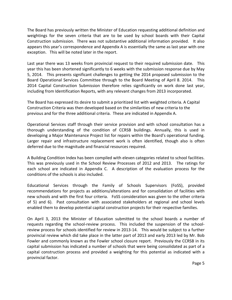The Board has previously written the Minister of Education requesting additional definition and weightings for the seven criteria that are to be used by school boards with their Capital Construction submission. There was not substantive additional information provided. It also appears this year's correspondence and Appendix A is essentially the same as last year with one exception. This will be noted later in the report.

Last year there was 13 weeks from provincial request to their required submission date. This year this has been shortened significantly to 6 weeks with the submission response due by May 5, 2014. This presents significant challenges to getting the 2014 proposed submission to the Board Operational Services Committee through to the Board Meeting of April 8. 2014. This 2014 Capital Construction Submission therefore relies significantly on work done last year, including from Identification Reports, with any relevant changes from 2013 incorporated.

The Board has expressed its desire to submit a prioritized list with weighted criteria. A Capital Construction Criteria was then developed based on the similarities of new criteria to the previous and for the three additional criteria. These are indicated in Appendix A.

Operational Services staff through their service provision and with school consultation has a thorough understanding of the condition of CCRSB buildings. Annually, this is used in developing a Major Maintenance Project list for repairs within the Board's operational funding. Larger repair and infrastructure replacement work is often identified, though also is often deferred due to the magnitude and financial resources required.

A Building Condition Index has been compiled with eleven categories related to school facilities. This was previously used in the School Review Processes of 2012 and 2013. The ratings for each school are indicated in Appendix C. A description of the evaluation process for the conditions of the schools is also included.

Educational Services through the Family of Schools Supervisors (FoSS), provided recommendations for projects as additions/alterations and for consolidation of facilities with new schools and with the first four criteria. FoSS consideration was given to the other criteria of 5) and 6). Past consultation with associated stakeholders at regional and school levels enabled them to develop potential capital construction projects for their respective families.

On April 3, 2013 the Minister of Education submitted to the school boards a number of requests regarding the school-review process. This included the suspension of the schoolreview process for schools identified for review in 2013-14. This would be subject to a further provincial review which did take place in the latter part of 2013 and early 2013 led by Mr. Bob Fowler and commonly known as the Fowler school closure report. Previously the CCRSB in its capital submission has indicated a number of schools that were being consolidated as part of a capital construction process and provided a weighting for this potential as indicated with a provincial factor.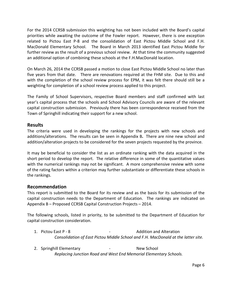For the 2014 CCRSB submission this weighting has not been included with the Board's capital priorities while awaiting the outcome of the Fowler report. However, there is one exception related to Pictou East P-8 and the consolidation of East Pictou Middle School and F.H. MacDonald Elementary School. The Board in March 2013 identified East Pictou Middle for further review as the result of a previous school review. At that time the community suggested an additional option of combining these schools at the F.H.MacDonald location.

On March 26, 2014 the CCRSB passed a motion to close East Pictou Middle School no later than five years from that date. There are renovations required at the FHM site. Due to this and with the completion of the school review process for EPM, it was felt there should still be a weighting for completion of a school review process applied to this project.

The Family of School Supervisors, respective Board members and staff confirmed with last year's capital process that the schools and School Advisory Councils are aware of the relevant capital construction submission. Previously there has been correspondence received from the Town of Springhill indicating their support for a new school.

### **Results**

The criteria were used in developing the rankings for the projects with new schools and additions/alterations. The results can be seen in Appendix B**.** There are nine new school and addition/alteration projects to be considered for the seven projects requested by the province.

It may be beneficial to consider the list as an ordinate ranking with the data acquired in the short period to develop the report. The relative difference in some of the quantitative values with the numerical rankings may not be significant. A more comprehensive review with some of the rating factors within a criterion may further substantiate or differentiate these schools in the rankings.

### **Recommendation**

This report is submitted to the Board for its review and as the basis for its submission of the capital construction needs to the Department of Education. The rankings are indicated on Appendix B – Proposed CCRSB Capital Construction Projects – 2014.

The following schools, listed in priority, to be submitted to the Department of Education for capital construction consideration.

- 1. Pictou East P 8 Addition and Alteration *Consolidation of East Pictou Middle School and F.H. MacDonald at the latter site.*
- 2. Springhill Elementary **-** New School *Replacing Junction Road and West End Memorial Elementary Schools.*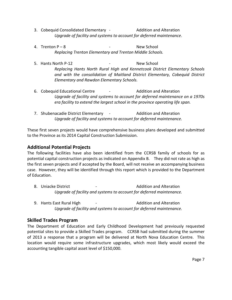- 3. Cobequid Consolidated Elementary Addition and Alteration *Upgrade of facility and systems to account for deferred maintenance*.
- 4. Trenton P 8 and New School (1990) The New School (1990) *Replacing Trenton Elementary and Trenton Middle Schools.*
- 5. Hants North P-12  **Access 12 Mew School** *Replacing Hants North Rural High and Kennetcook District Elementary Schools and with the consolidation of Maitland District Elementary, Cobequid District Elementary and Rawdon Elementary Schools.*
- 6. Cobequid Educational Centre **-** Addition and Alteration *Upgrade of facility and systems to account for deferred maintenance on a 1970s era facility to extend the largest school in the province operating life span.*
- 7. Shubenacadie District Elementary The Addition and Alteration *Upgrade of facility and systems to account for deferred maintenance.*

These first seven projects would have comprehensive business plans developed and submitted to the Province as its 2014 Capital Construction Submission.

### **Additional Potential Projects**

The following facilities have also been identified from the CCRSB family of schools for as potential capital construction projects as indicated on Appendix B. They did not rate as high as the first seven projects and if accepted by the Board, will not receive an accompanying business case. However, they will be identified through this report which is provided to the Department of Education.

- 8. Uniacke District **Addition** and Alteration *Upgrade of facility and systems to account for deferred maintenance.*
- 9. Hants East Rural High The State of Testam Addition and Alteration *Upgrade of facility and systems to account for deferred maintenance.*

### **Skilled Trades Program**

The Department of Education and Early Childhood Development had previously requested potential sites to provide a Skilled Trades program. CCRSB had submitted during the summer of 2013 a response that a program will be delivered at North Nova Education Centre. This location would require some infrastructure upgrades, which most likely would exceed the accounting tangible capital asset level of \$150,000.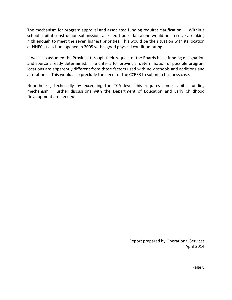The mechanism for program approval and associated funding requires clarification. Within a school capital construction submission, a skilled trades' lab alone would not receive a ranking high enough to meet the seven highest priorities. This would be the situation with its location at NNEC at a school opened in 2005 with a good physical condition rating.

It was also assumed the Province through their request of the Boards has a funding designation and source already determined. The criteria for provincial determination of possible program locations are apparently different from those factors used with new schools and additions and alterations. This would also preclude the need for the CCRSB to submit a business case.

Nonetheless, technically by exceeding the TCA level this requires some capital funding mechanism. Further discussions with the Department of Education and Early Childhood Development are needed.

> Report prepared by Operational Services April 2014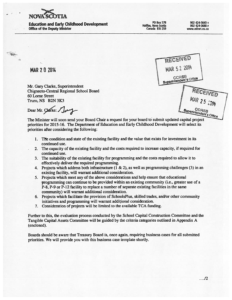

**Education and Early Childhood Development Office of the Deputy Minister** 

**PO Box 578** Halifax, Nova Scotia Canada B3J 2S9

902 424-5643 т 902 424-0680 F www.ednet.ns.ca

| RECEIVED                         |
|----------------------------------|
| MAR 5 2 2014                     |
| CCRSB<br>Superintendent's Office |
|                                  |

**MAR 2 0 2014** 

 $\begin{picture}(20,5) \put(0,0){\vector(0,1){10}} \put(15,0){\vector(0,1){10}} \put(15,0){\vector(0,1){10}} \put(15,0){\vector(0,1){10}} \put(15,0){\vector(0,1){10}} \put(15,0){\vector(0,1){10}} \put(15,0){\vector(0,1){10}} \put(15,0){\vector(0,1){10}} \put(15,0){\vector(0,1){10}} \put(15,0){\vector(0,1){10}} \put(15,0){\vector(0,1){10}} \put(15,0){\vector(0,$ 

Mr. Gary Clarke, Superintendent Chignecto-Central Regional School Board 60 Lorne Street Truro, NS B2N 3K3

Dear Mr. Clarke: Juy

Superintendent's Office The Minister will soon send your Board Chair a request for your board to submit updated capital project priorities for 2015-16. The Department of Education and Early Childhood Development will select its priorities after considering the following:

- 1. The condition and state of the existing facility and the value that exists for investment in its continued use.
- 2. The capacity of the existing facility and the costs required to increase capacity, if required for continued use.
- 3. The suitability of the existing facility for programming and the costs required to allow it to effectively deliver the required programming.
- 4. Projects which address both infrastructure  $(1 \& 2)$ , as well as programming challenges (3) in an existing facility, will warrant additional consideration.
- 5. Projects which meet any of the above considerations and help ensure that educational programming can continue to be provided within an existing community (i.e., greater use of a P-8, P-9 or P-12 facility to replace a number of separate existing facilities in the same community) will warrant additional consideration.
- 6. Projects which facilitate the provision of SchoolsPlus, skilled trades, and/or other community initiatives and programming will warrant additional consideration.
- 7. Consideration of projects will be limited to the available TCA funding.

Further to this, the evaluation process conducted by the School Capital Construction Committee and the Tangible Capital Assets Committee will be guided by the criteria categories outlined in Appendix A (enclosed).

Boards should be aware that Treasury Board is, once again, requiring business cases for all submitted priorities. We will provide you with this business case template shortly.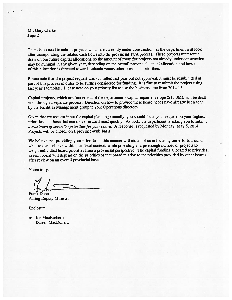Mr. Gary Clarke Page 2

There is no need to submit projects which are currently under construction, as the department will look after incorporating the related cash flows into the provincial TCA process. These projects represent a draw on our future capital allocations, so the amount of room for projects not already under construction may be minimal in any given year, depending on the overall provincial capital allocation and how much of this allocation is directed towards schools versus other provincial priorities.

Please note that if a project request was submitted last year but not approved, it must be resubmitted as part of this process in order to be further considered for funding. It is fine to resubmit the project using last year's template. Please note on your priority list to use the business case from 2014-15.

Capital projects, which are funded out of the department's capital repair envelope (\$15.0M), will be dealt with through a separate process. Direction on how to provide these board needs have already been sent by the Facilities Management group to your Operations directors.

Given that we request input for capital planning annually, you should focus your request on your highest priorities and those that can move forward most quickly. As such, the department is asking you to submit a maximum of seven (7) priorities for your board. A response is requested by Monday, May 5, 2014. Projects will be chosen on a province-wide basis.

We believe that providing your priorities in this manner will aid all of us in focusing our efforts around what we can achieve within our fiscal context, while providing a large enough number of projects to weigh individual board priorities from a provincial perspective. The capital funding allocated to priorities in each board will depend on the priorities of that board relative to the priorities provided by other boards after review on an overall provincial basis.

Yours truly,

**Frank Dunn Acting Deputy Minister** 

Enclosure

c: Joe MacEachern Darrell MacDonald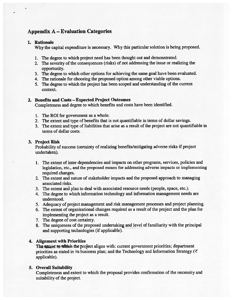### **Appendix A - Evaluation Categories**

### 1. Rationale

Why the capital expenditure is necessary. Why this particular solution is being proposed.

- 1. The degree to which project need has been thought out and demonstrated.
- 2. The severity of the consequences (risks) of not addressing the issue or realizing the opportunity.
- 3. The degree to which other options for achieving the same goal have been evaluated.
- 4. The rationale for choosing the proposed option among other viable options.
- 5. The degree to which the project has been scoped and understanding of the current context.

### 2. Benefits and Costs - Expected Project Outcomes

Completeness and degree to which benefits and costs have been identified.

- 1. The ROI for government as a whole.
- 2. The extent and type of benefits that is not quantifiable in terms of dollar savings.
- 3. The extent and type of liabilities that arise as a result of the project are not quantifiable in terms of dollar costs.

#### 3. Project Risk

Probability of success (certainty of realizing benefits/mitigating adverse risks if project undertaken).

- 1. The extent of inter-dependencies and impacts on other programs, services, policies and legislation, etc., and the proposed means for addressing adverse impacts or implementing required changes.
- 2. The extent and nature of stakeholder impacts and the proposed approach to managing associated risks.
- 3. The extent and plan to deal with associated resource needs (people, space, etc.).
- 4. The degree to which information technology and information management needs are understood.
- 5. Adequacy of project management and risk management processes and project planning.
- 6. The extent of organizational changes required as a result of the project and the plan for implementing the project as a result.
- 7. The degree of cost certainty.
- 8. The uniqueness of the proposed undertaking and level of familiarity with the principal and supporting technologies (if applicable).

#### 4. Alignment with Priorities

The extent to which the project aligns with: current government priorities; department priorities as stated in its business plan; and the Technology and Information Strategy (if applicable).

### 5. Overall Suitability

Completeness and extent to which the proposal provides confirmation of the necessity and suitability of the project.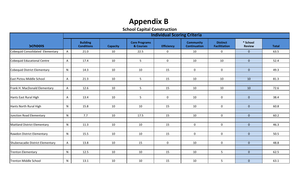# **Appendix B**

**School Capital Construction**

|                                  | <b>Individual Scoring Criteria</b> |                                      |                 |                                   |                   |                                         |                                         |                           |              |  |  |  |
|----------------------------------|------------------------------------|--------------------------------------|-----------------|-----------------------------------|-------------------|-----------------------------------------|-----------------------------------------|---------------------------|--------------|--|--|--|
| <b>Schools</b>                   |                                    | <b>Building</b><br><b>Conditions</b> | <b>Capacity</b> | <b>Core Programs</b><br>& Courses | <b>Efficiency</b> | <b>Community</b><br><b>Continuation</b> | <b>Distinct</b><br><b>Facilitiation</b> | * School<br><b>Review</b> | <b>Total</b> |  |  |  |
| Cobequid Consolidated Elementary |                                    | 21.0                                 | 10              | 22.5                              | $\mathbf 0$       | 10                                      | $\mathbf 0$                             | $\overline{0}$            | 63.5         |  |  |  |
|                                  |                                    |                                      |                 |                                   |                   |                                         |                                         |                           |              |  |  |  |
| Cobequid Educational Centre      | A                                  | 17.4                                 | 10              | 5 <sub>1</sub>                    | $\mathbf 0$       | 10                                      | 10                                      | $\overline{0}$            | 52.4         |  |  |  |
|                                  |                                    |                                      |                 |                                   |                   |                                         |                                         |                           |              |  |  |  |
| Cobequid District Elementary     | ${\sf N}$                          | 14.3                                 | 10              | 10                                | 15                | $\mathbf 0$                             | $\mathbf 0$                             | $\overline{0}$            | 49.3         |  |  |  |
| East Pictou Middle School        | A                                  | 21.3                                 | 10              | 5 <sup>1</sup>                    | 15                | 10                                      | 10                                      | 10                        | 81.3         |  |  |  |
|                                  |                                    |                                      |                 |                                   |                   |                                         |                                         |                           |              |  |  |  |
| Frank H. MacDonald Elementary    | A                                  | 12.6                                 | 10              | 5 <sub>1</sub>                    | 15                | 10                                      | 10                                      | 10                        | 72.6         |  |  |  |
|                                  |                                    |                                      |                 |                                   |                   |                                         |                                         |                           |              |  |  |  |
| Hants East Rural High            | A                                  | 13.4                                 | 10              | 5                                 | $\mathbf{0}$      | 10                                      | $\mathbf 0$                             | $\overline{0}$            | 38.4         |  |  |  |
|                                  |                                    |                                      |                 |                                   |                   |                                         |                                         |                           |              |  |  |  |
| Hants North Rural High           | ${\sf N}$                          | 15.8                                 | 10              | 10                                | 15                | 10                                      | $\mathbf 0$                             | $\overline{0}$            | 60.8         |  |  |  |
| Junction Road Elementary         | $\mathsf{N}$                       | 7.7                                  | 10              | 17.5                              | 15                | 10                                      | $\mathbf 0$                             | $\overline{0}$            | 60.2         |  |  |  |
|                                  |                                    |                                      |                 |                                   |                   |                                         |                                         |                           |              |  |  |  |
| Maitland District Elementary     | $\mathsf{N}$                       | 11.3                                 | 10              | 10                                | 15                | $\mathbf 0$                             | $\mathbf 0$                             | $\overline{0}$            | 46.3         |  |  |  |
|                                  |                                    |                                      |                 |                                   |                   |                                         |                                         |                           |              |  |  |  |
| Rawdon District Elementary       | N                                  | 15.5                                 | 10              | 10                                | 15                | $\mathbf 0$                             | $\mathbf 0$                             | $\overline{0}$            | 50.5         |  |  |  |
|                                  |                                    |                                      |                 |                                   |                   |                                         |                                         |                           |              |  |  |  |
| Shubenacadie District Elementary | $\mathsf{A}$                       | 13.8                                 | 10              | 15                                | $\mathbf{0}$      | 10                                      | $\mathbf 0$                             | $\overline{0}$            | 48.8         |  |  |  |
|                                  |                                    |                                      |                 |                                   |                   |                                         |                                         |                           |              |  |  |  |
| <b>Trenton Elementary</b>        | $\mathsf{N}$                       | 12.5                                 | 10              | 10                                | 15                | 10                                      | 5                                       | $\overline{0}$            | 62.5         |  |  |  |
| <b>Trenton Middle School</b>     | N                                  | 13.1                                 | 10              | 10                                | 15                | 10                                      | 5                                       | $\overline{0}$            | 63.1         |  |  |  |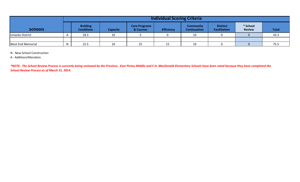|                          |   | <b>Individual Scoring Criteria</b>   |                 |                                   |                   |                                         |                                         |                           |              |  |  |  |
|--------------------------|---|--------------------------------------|-----------------|-----------------------------------|-------------------|-----------------------------------------|-----------------------------------------|---------------------------|--------------|--|--|--|
| <b>Schools</b>           |   | <b>Building</b><br><b>Conditions</b> | <b>Capacity</b> | <b>Core Programs</b><br>& Courses | <b>Efficiency</b> | <b>Community</b><br><b>Continuation</b> | <b>Distinct</b><br><b>Facilitiation</b> | * School<br><b>Review</b> | <b>Total</b> |  |  |  |
| <b>Uniacke District</b>  |   | 18.3                                 | 10              |                                   |                   | 10                                      |                                         |                           | 43.3         |  |  |  |
|                          |   |                                      |                 |                                   |                   |                                         |                                         |                           |              |  |  |  |
| <b>West End Memorial</b> | N | 15.5                                 | 10              | 25                                | 15                | 10                                      |                                         |                           | 75.5         |  |  |  |

N - New School Construction

A - Addition/Alteration

*\*NOTE: The School Review Process is currently being reviewed by the Province. East Pictou Middle and F.H. MacDonald Elementary Schools have been rated because they have completed the School Review Process as of March 31, 2014.*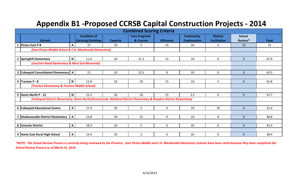# **Appendix B1 -Proposed CCRSB Capital Construction Projects - 2014**

| <b>Combined Scoring Criteria</b>                                                                                  |              |                                             |                 |                                   |                   |                                         |                                        |                          |              |  |  |
|-------------------------------------------------------------------------------------------------------------------|--------------|---------------------------------------------|-----------------|-----------------------------------|-------------------|-----------------------------------------|----------------------------------------|--------------------------|--------------|--|--|
| <b>Schools</b>                                                                                                    |              | <b>Condition of</b><br>(Existing) Buildings | <b>Capacity</b> | <b>Core Programs</b><br>& Courses | <b>Efficiency</b> | <b>Community</b><br><b>Continuation</b> | <b>Distinct</b><br><b>Facilitation</b> | <b>School</b><br>Review* | <b>Total</b> |  |  |
| <b>Pictou East P-8</b>                                                                                            | A            | 17                                          | 10              | 5                                 | 15                | 10                                      | 5.                                     | 10                       | 72           |  |  |
| (East Pictou Middle School & F.H. MacDonald Elementary)                                                           |              |                                             |                 |                                   |                   |                                         |                                        |                          |              |  |  |
|                                                                                                                   |              |                                             |                 |                                   |                   |                                         |                                        |                          |              |  |  |
| Springhill Elementary                                                                                             | $\mathbf N$  | 11.6                                        | 10              | 21.3                              | 15                | 10                                      | $\mathbf 0$                            | $\overline{0}$           | 67.9         |  |  |
| (Junction Road Elementary & West End Memorial)                                                                    |              |                                             |                 |                                   |                   |                                         |                                        |                          |              |  |  |
|                                                                                                                   |              |                                             |                 |                                   |                   |                                         |                                        |                          |              |  |  |
| 3 Cobequid Consolidated Elementary   A                                                                            |              | 21                                          | 10              | 22.5                              | $\mathbf 0$       | 10                                      | $\mathbf 0$                            | $\overline{0}$           | 63.5         |  |  |
|                                                                                                                   |              |                                             |                 |                                   |                   |                                         |                                        |                          |              |  |  |
| 4 Trenton P - 8                                                                                                   | $\mathsf{N}$ | 12.8                                        | 10              | 10                                | 15                | 10                                      | 5                                      | $\overline{0}$           | 62.8         |  |  |
| (Trenton Elementary & Trenton Middle School)                                                                      |              |                                             |                 |                                   |                   |                                         |                                        |                          |              |  |  |
|                                                                                                                   |              |                                             |                 |                                   |                   |                                         |                                        |                          |              |  |  |
| 5 Hants North P - 12                                                                                              | $\mathbf N$  | 15.2                                        | 10              | 10                                | 15                | 2.5                                     | $\mathbf 0$                            | $\overline{0}$           | 52.7         |  |  |
| (Cobequid District Elementary, Hants North/Kennetcook, Maitland District Elementary & Rawdon District Elementary) |              |                                             |                 |                                   |                   |                                         |                                        |                          |              |  |  |
|                                                                                                                   |              |                                             |                 |                                   |                   |                                         |                                        |                          |              |  |  |
| 6 Cobequid Educational Centre                                                                                     | $\mathsf{A}$ | 17.4                                        | 10              | 5                                 | $\mathbf 0$       | 10                                      | 10                                     | $\overline{0}$           | 52.4         |  |  |
|                                                                                                                   |              |                                             |                 |                                   |                   |                                         |                                        |                          |              |  |  |
| Shubenacadie District Elementary                                                                                  | $\mathbf{A}$ | 13.8                                        | 10              | 15                                | 0                 | 10                                      | $\mathbf 0$                            | $\overline{0}$           | 48.8         |  |  |
|                                                                                                                   |              |                                             |                 |                                   |                   |                                         |                                        |                          |              |  |  |
| 8 Uniacke District                                                                                                | $\mathsf{A}$ | 18.3                                        | 10              | 5                                 | $\mathbf 0$       | 10                                      | $\mathbf 0$                            | $\overline{0}$           | 43.3         |  |  |
|                                                                                                                   |              |                                             |                 |                                   |                   |                                         |                                        |                          |              |  |  |
| 9 Hants East Rural High School                                                                                    | $\mathbf{A}$ | 13.4                                        | 10              | 5                                 | 0                 | 10                                      | 0                                      | $\mathbf{0}$             | 38.4         |  |  |

*\*NOTE: The School Review Process is currently being reviewed by the Province. East Pictou Middle and F.H. MacDonald Elementary Schools have been rated because they have completed the School Review Process as of March 31, 2014.*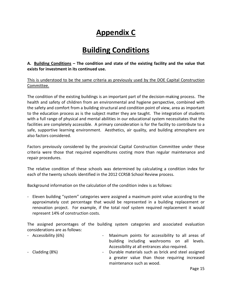# **Appendix C**

# **Building Conditions**

### **A. Building Conditions – The condition and state of the existing facility and the value that exists for investment in its continued use.**

This is understood to be the same criteria as previously used by the DOE Capital Construction Committee.

The condition of the existing buildings is an important part of the decision-making process. The health and safety of children from an environmental and hygiene perspective, combined with the safety and comfort from a building structural and condition point of view, area as important to the education process as is the subject matter they are taught. The integration of students with a full range of physical and mental abilities in our educational system necessitates that the facilities are completely accessible. A primary consideration is for the facility to contribute to a safe, supportive learning environment. Aesthetics, air quality, and building atmosphere are also factors considered.

Factors previously considered by the provincial Capital Construction Committee under these criteria were those that required expenditures costing more than regular maintenance and repair procedures.

The relative condition of these schools was determined by calculating a condition index for each of the twenty schools identified in the 2012 CCRSB School Review process.

Background information on the calculation of the condition index is as follows:

- Eleven building "system" categories were assigned a maximum point value according to the approximately cost percentage that would be represented in a building replacement or renovation project. For example, if the total roof system required replacement it would represent 14% of construction costs.

The assigned percentages of the building system categories and associated evaluation considerations are as follows:

| - Accessibility (6%) | - Maximum points for accessibility to all areas of   |
|----------------------|------------------------------------------------------|
|                      | building including washrooms on all levels.          |
|                      | Accessibility at all entrances also required.        |
| - Cladding (8%)      | - Durable materials such as brick and steel assigned |
|                      | a greater value than those requiring increased       |
|                      | maintenance such as wood.                            |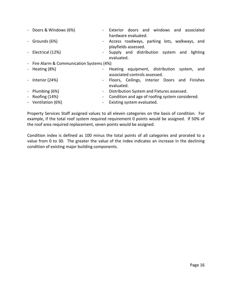| - Doors & Windows (6%)                    | Exterior doors and windows and associated<br>hardware evaluated.                |
|-------------------------------------------|---------------------------------------------------------------------------------|
| - Grounds (6%)<br>$\sim$                  | Access roadways, parking lots, walkways, and<br>playfields assessed.            |
| - Electrical (12%)<br>$\sim$              | Supply and distribution system<br>lighting<br>and<br>evaluated.                 |
| - Fire Alarm & Communication Systems (4%) |                                                                                 |
| - Heating (8%)<br>$\sim$                  | Heating equipment, distribution system,<br>and<br>associated controls assessed. |
| - Interior (24%)<br>$\sim$                | Floors, Ceilings, Interior Doors and Finishes<br>evaluated.                     |
| - Plumbing (6%)<br>$\sim$                 | Distribution System and Fixtures assessed.                                      |
| - Roofing $(14%)$<br>$\sim$               | Condition and age of roofing system considered.                                 |
| - Ventilation (6%)                        | Existing system evaluated.                                                      |

Property Services Staff assigned values to all eleven categories on the basis of condition. For example, if the total roof system required requirement 0 points would be assigned. If 50% of the roof area required replacement, seven points would be assigned.

Condition index is defined as 100 minus the total points of all categories and prorated to a value from 0 to 30. The greater the value of the index indicates an increase in the declining condition of existing major building components.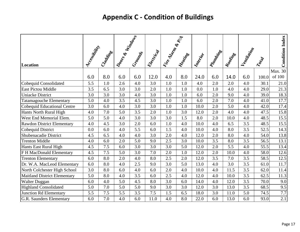# **Appendix C - Condition of Buildings**

| Location                            | Accessity | Crapticses | Doors & Windows | Criotings | Electrical | Rive Manufacture | Meaninge | Interior | <b>PATRICIAL</b> | Rooming | Ventiliation | Town  | <b>Condition Index</b> |
|-------------------------------------|-----------|------------|-----------------|-----------|------------|------------------|----------|----------|------------------|---------|--------------|-------|------------------------|
|                                     |           |            |                 |           |            |                  |          |          |                  |         |              |       | Max. 30                |
|                                     | 6.0       | 8.0        | 6.0             | 6.0       | 12.0       | 4.0              | 8.0      | 24.0     | 6.0              | 14.0    | 6.0          | 100.0 | of 100                 |
| Cobequid Consolidated               | 5.5       | $1.0\,$    | 2.6             | 4.0       | 3.0        | 1.0              | $1.0\,$  | 4.0      | 2.0              | 2.0     | 4.0          | 30.1  | 21.0                   |
| <b>East Pictou Middle</b>           | 3.5       | 6.5        | 3.0             | 3.0       | 2.0        | 1.0              | 1.0      | 0.0      | 1.0              | 4.0     | 4.0          | 29.0  | 21.3                   |
| <b>Uniacke District</b>             | 3.0       | 3.0        | 3.0             | 4.0       | 3.0        | 1.0              | 1.0      | 6.0      | 2.0              | 9.0     | 4.0          | 39.0  | 18.3                   |
| <b>Tatamagouche Elementary</b>      | 5.0       | 4.0        | 3.5             | 4.5       | 3.0        | 1.0              | 1.0      | 6.0      | 2.0              | 7.0     | 4.0          | 41.0  | 17.7                   |
| Cobequid Educational Centre         | 3.0       | 6.0        | 4.0             | 3.0       | 3.0        | 1.0              | 1.0      | 10.0     | 2.0              | 5.0     | 4.0          | 42.0  | 17.4                   |
| Hants North Rural High              | 4.0       | 7.0        | 5.0             | 3.5       | 2.0        | 1.0              | 3.0      | 12.0     | 2.0              | 4.0     | 4.0          | 47.5  | 15.8                   |
| West End Memorial Elem.             | 5.0       | 5.0        | 4.0             | 3.0       | 3.0        | 3.0              | 1.5      | 8.0      | 2.0              | 10.0    | 4.0          | 48.5  | 15.5                   |
| <b>Rawdon District Elementary</b>   | 4.0       | 4.5        | 3.0             | 2.0       | 6.0        | 1.0              | 4.0      | 10.0     | 4.0              | 6.5     | 3.5          | 48.5  | 15.5                   |
| Cobequid District                   | 0.0       | 6.0        | 4.0             | 5.5       | 6.0        | 1.5              | 4.0      | 10.0     | 4.0              | 8.0     | 3.5          | 52.5  | 14.3                   |
| Shubenacadie District               | 4.5       | 6.5        | 4.0             | 4.0       | 3.0        | 2.0              | 4.0      | 12.0     | 2.0              | 8.0     | 4.0          | 54.0  | 13.8                   |
| <b>Trenton Middle</b>               | 4.0       | 6.0        | 2.0             | 5.0       | 9.0        | 2.5              | 3.0      | 10.0     | 3.5              | 8.0     | 3.5          | 56.5  | 13.1                   |
| Hants East Rural High               | 4.5       | 7.5        | 6.0             | 3.0       | 3.0        | 3.0              | 5.0      | 12.0     | 2.0              | 5.5     | 4.0          | 55.5  | 13.4                   |
| F H MacDonald Elementary            | 4.5       | 7.5        | 5.0             | 3.0       | 7.0        | 2.0              | 1.0      | 12.0     | 2.0              | 10.0    | 4.0          | 58.0  | 12.6                   |
| <b>Trenton Elementary</b>           | 6.0       | 8.0        | 2.0             | 4.0       | 8.0        | 2.5              | 2.0      | 12.0     | 3.5              | 7.0     | 3.5          | 58.5  | 12.5                   |
| Dr. W.A. MacLeod Elementary         | 6.0       | 8.0        | 4.0             | 2.5       | 9.0        | 3.0              | 5.0      | 13.0     | 4.0              | 3.0     | 3.5          | 61.0  | 11.7                   |
| North Colchester High School        | 3.0       | 8.0        | 6.0             | 4.0       | 6.0        | 2.0              | 4.0      | 10.0     | 4.0              | 11.5    | 3.5          | 62.0  | 11.4                   |
| <b>Maitland District Elementary</b> | 5.0       | 8.0        | 4.0             | 3.5       | 6.0        | 2.5              | 4.0      | 12.0     | 4.0              | 10.0    | 3.5          | 62.5  | 11.3                   |
| <b>Walter Duggan</b>                | 6.0       | 4.0        | 5.0             | 4.5       | 8.0        | 3.0              | 6.0      | 14.0     | 4.0              | 12.0    | 3.5          | 70.0  | 9.0                    |
| <b>Highland Consolidated</b>        | 5.0       | 7.0        | 5.0             | 5.0       | 9.0        | 3.0              | 3.0      | 12.0     | 3.0              | 13.0    | 3.5          | 68.5  | 9.5                    |
| Junction Rd Elementary              | 5.5       | 7.5        | 5.5             | 3.5       | 7.5        | 1.5              | 6.5      | 18.0     | 3.0              | 11.0    | 5.0          | 74.5  | 7.7                    |
| <b>G.R. Saunders Elementary</b>     | 6.0       | 7.0        | 4.0             | 6.0       | 11.0       | 4.0              | 8.0      | 22.0     | 6.0              | 13.0    | 6.0          | 93.0  | 2.1                    |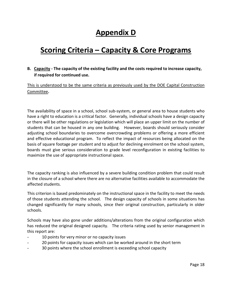### **Appendix D**

# **Scoring Criteria – Capacity & Core Programs**

### **B. Capacity - The capacity of the existing facility and the costs required to increase capacity, if required for continued use.**

### This is understood to be the same criteria as previously used by the DOE Capital Construction Committee**.**

The availability of space in a school, school sub-system, or general area to house students who have a right to education is a critical factor. Generally, individual schools have a design capacity or there will be other regulations or legislation which will place an upper limit on the number of students that can be housed in any one building. However, boards should seriously consider adjusting school boundaries to overcome overcrowding problems or offering a more efficient and effective educational program. To reflect the impact of resources being allocated on the basis of square footage per student and to adjust for declining enrolment on the school system, boards must give serious consideration to grade level reconfiguration in existing facilities to maximize the use of appropriate instructional space.

The capacity ranking is also influenced by a severe building condition problem that could result in the closure of a school where there are no alternative facilities available to accommodate the affected students.

This criterion is based predominately on the instructional space in the facility to meet the needs of those students attending the school. The design capacity of schools in some situations has changed significantly for many schools, since their original construction, particularly in older schools.

Schools may have also gone under additions/alterations from the original configuration which has reduced the original designed capacity. The criteria rating used by senior management in this report are:

- 10 points for very minor or no capacity issues
- 20 points for capacity issues which can be worked around in the short term
- 30 points where the school enrollment is exceeding school capacity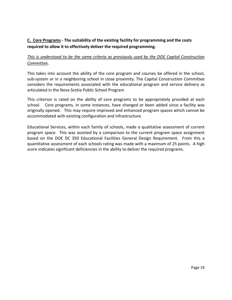### **C. Core Programs - The suitability of the existing facility for programming and the costs required to allow it to effectively deliver the required programming.**

### *This is understood to be the same criteria as previously used by the DOE Capital Construction Committee.*

This takes into account the ability of the core program and courses be offered in the school, sub-system or in a neighboring school in close proximity. The Capital Construction Committee considers the requirements associated with the educational program and service delivery as articulated in the Nova Scotia Public School Program

This criterion is rated on the ability of core programs to be appropriately provided at each school. Core programs, in some instances, have changed or been added since a facility was originally opened. This may require improved and enhanced program spaces which cannot be accommodated with existing configuration and infrastructure.

Educational Services, within each family of schools, made a qualitative assessment of current program space. This was assisted by a comparison to the current program space assignment based on the DOE DC 350 Educational Facilities General Design Requirement. From this a quantitative assessment of each schools rating was made with a maximum of 25 points. A high score indicates significant deficiencies in the ability to deliver the required programs.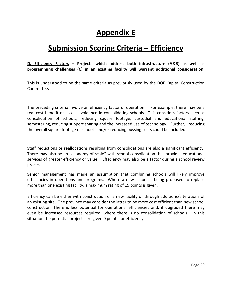### **Appendix E**

### **Submission Scoring Criteria – Efficiency**

**D. Efficiency Factors – Projects which address both infrastructure (A&B) as well as programming challenges (C) in an existing facility will warrant additional consideration.**

This is understood to be the same criteria as previously used by the DOE Capital Construction Committee**.** 

The preceding criteria involve an efficiency factor of operation. For example, there may be a real cost benefit or a cost avoidance in consolidating schools. This considers factors such as consolidation of schools, reducing square footage, custodial and educational staffing, semestering, reducing support sharing and the increased use of technology. Further, reducing the overall square footage of schools and/or reducing bussing costs could be included.

Staff reductions or reallocations resulting from consolidations are also a significant efficiency. There may also be an "economy of scale" with school consolidation that provides educational services of greater efficiency or value. Effeciency may also be a factor during a school review process.

Senior management has made an assumption that combining schools will likely improve efficiencies in operations and programs. Where a new school is being proposed to replace more than one existing facility, a maximum rating of 15 points is given.

Efficiency can be either with construction of a new facility or through additions/alterations of an existing site. The province may consider the latter to be more cost efficient than new school construction. There is less potential for operational efficiencies and, if upgraded there may even be increased resources required, where there is no consolidation of schools. In this situation the potential projects are given 0 points for efficiency.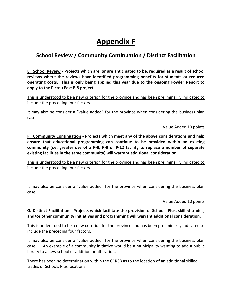# **Appendix F**

### **School Review / Community Continuation / Distinct Facilitation**

**E. School Review - Projects which are, or are anticipated to be, required as a result of school reviews where the reviews have identified programming benefits for students or reduced operating costs. This is only being applied this year due to the ongoing Fowler Report to apply to the Pictou East P-8 project.**

This is understood to be a new criterion for the province and has been preliminarily indicated to include the preceding four factors.

It may also be consider a "value added" for the province when considering the business plan case.

Value Added 10 points

**F. Community Continuation - Projects which meet any of the above considerations and help ensure that educational programming can continue to be provided within an existing community (i.e. greater use of a P-8, P-9 or P-12 facility to replace a number of separate existing facilities in the same community) will warrant additional consideration.**

This is understood to be a new criterion for the province and has been preliminarily indicated to include the preceding four factors.

It may also be consider a "value added" for the province when considering the business plan case.

Value Added 10 points

**G. Distinct Facilitation - Projects which facilitate the provision of Schools Plus, skilled trades, and/or other community initiatives and programming will warrant additional consideration.**

This is understood to be a new criterion for the province and has been preliminarily indicated to include the preceding four factors.

It may also be consider a "value added" for the province when considering the business plan case. An example of a community initiative would be a municipality wanting to add a public library to a new school or addition or alteration.

There has been no determination within the CCRSB as to the location of an additional skilled trades or Schools Plus locations.